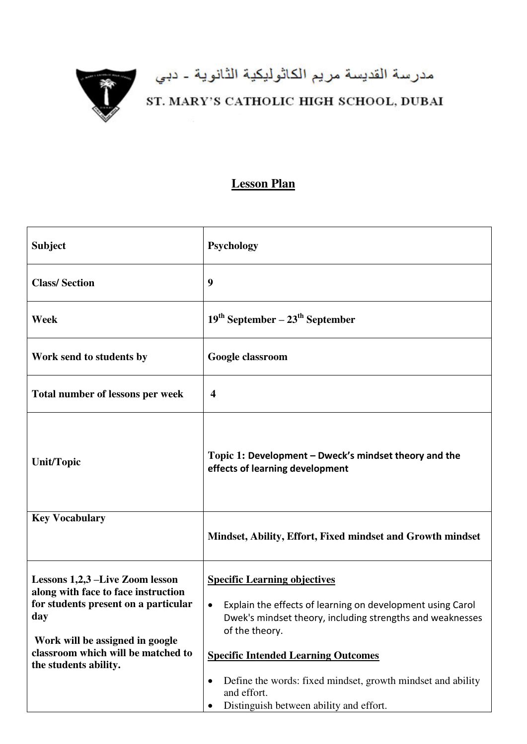

## مدرسة القديسة مريم الكاثوليكية الثانوية - دبي<br>ST. MARY'S CATHOLIC HIGH SCHOOL, DUBAI

## **Lesson Plan**

| <b>Subject</b>                                                                                                                                                                                                          | <b>Psychology</b>                                                                                                                                                                                                                                                                                                                                                                 |
|-------------------------------------------------------------------------------------------------------------------------------------------------------------------------------------------------------------------------|-----------------------------------------------------------------------------------------------------------------------------------------------------------------------------------------------------------------------------------------------------------------------------------------------------------------------------------------------------------------------------------|
| <b>Class/Section</b>                                                                                                                                                                                                    | 9                                                                                                                                                                                                                                                                                                                                                                                 |
| Week                                                                                                                                                                                                                    | $19th$ September – $23th$ September                                                                                                                                                                                                                                                                                                                                               |
| Work send to students by                                                                                                                                                                                                | Google classroom                                                                                                                                                                                                                                                                                                                                                                  |
| Total number of lessons per week                                                                                                                                                                                        | $\overline{\mathbf{4}}$                                                                                                                                                                                                                                                                                                                                                           |
| <b>Unit/Topic</b>                                                                                                                                                                                                       | Topic 1: Development – Dweck's mindset theory and the<br>effects of learning development                                                                                                                                                                                                                                                                                          |
| <b>Key Vocabulary</b>                                                                                                                                                                                                   | Mindset, Ability, Effort, Fixed mindset and Growth mindset                                                                                                                                                                                                                                                                                                                        |
| Lessons 1,2,3 –Live Zoom lesson<br>along with face to face instruction<br>for students present on a particular<br>day<br>Work will be assigned in google<br>classroom which will be matched to<br>the students ability. | <b>Specific Learning objectives</b><br>Explain the effects of learning on development using Carol<br>$\bullet$<br>Dwek's mindset theory, including strengths and weaknesses<br>of the theory.<br><b>Specific Intended Learning Outcomes</b><br>Define the words: fixed mindset, growth mindset and ability<br>$\bullet$<br>and effort.<br>Distinguish between ability and effort. |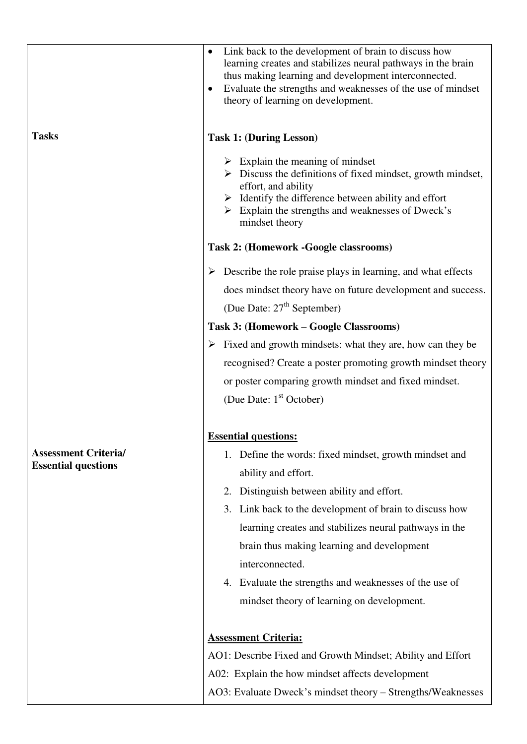|                             | Link back to the development of brain to discuss how<br>learning creates and stabilizes neural pathways in the brain<br>thus making learning and development interconnected.<br>Evaluate the strengths and weaknesses of the use of mindset<br>theory of learning on development.                                 |
|-----------------------------|-------------------------------------------------------------------------------------------------------------------------------------------------------------------------------------------------------------------------------------------------------------------------------------------------------------------|
| <b>Tasks</b>                | <b>Task 1: (During Lesson)</b>                                                                                                                                                                                                                                                                                    |
|                             | $\triangleright$ Explain the meaning of mindset<br>$\triangleright$ Discuss the definitions of fixed mindset, growth mindset,<br>effort, and ability<br>$\triangleright$ Identify the difference between ability and effort<br>$\triangleright$ Explain the strengths and weaknesses of Dweck's<br>mindset theory |
|                             | Task 2: (Homework -Google classrooms)                                                                                                                                                                                                                                                                             |
|                             | Describe the role praise plays in learning, and what effects<br>➤                                                                                                                                                                                                                                                 |
|                             | does mindset theory have on future development and success.                                                                                                                                                                                                                                                       |
|                             | (Due Date: 27 <sup>th</sup> September)                                                                                                                                                                                                                                                                            |
|                             | Task 3: (Homework – Google Classrooms)                                                                                                                                                                                                                                                                            |
|                             | $\triangleright$ Fixed and growth mindsets: what they are, how can they be                                                                                                                                                                                                                                        |
|                             | recognised? Create a poster promoting growth mindset theory                                                                                                                                                                                                                                                       |
|                             | or poster comparing growth mindset and fixed mindset.                                                                                                                                                                                                                                                             |
|                             | (Due Date: 1 <sup>st</sup> October)                                                                                                                                                                                                                                                                               |
|                             | <b>Essential questions:</b>                                                                                                                                                                                                                                                                                       |
| <b>Assessment Criteria/</b> | Define the words: fixed mindset, growth mindset and<br>1.                                                                                                                                                                                                                                                         |
| <b>Essential questions</b>  | ability and effort.                                                                                                                                                                                                                                                                                               |
|                             | Distinguish between ability and effort.<br>2.                                                                                                                                                                                                                                                                     |
|                             | Link back to the development of brain to discuss how<br>3.                                                                                                                                                                                                                                                        |
|                             | learning creates and stabilizes neural pathways in the                                                                                                                                                                                                                                                            |
|                             | brain thus making learning and development                                                                                                                                                                                                                                                                        |
|                             | interconnected.                                                                                                                                                                                                                                                                                                   |
|                             | 4. Evaluate the strengths and weaknesses of the use of                                                                                                                                                                                                                                                            |
|                             | mindset theory of learning on development.                                                                                                                                                                                                                                                                        |
|                             | <b>Assessment Criteria:</b>                                                                                                                                                                                                                                                                                       |
|                             | AO1: Describe Fixed and Growth Mindset; Ability and Effort                                                                                                                                                                                                                                                        |
|                             | A02: Explain the how mindset affects development                                                                                                                                                                                                                                                                  |
|                             | AO3: Evaluate Dweck's mindset theory – Strengths/Weaknesses                                                                                                                                                                                                                                                       |